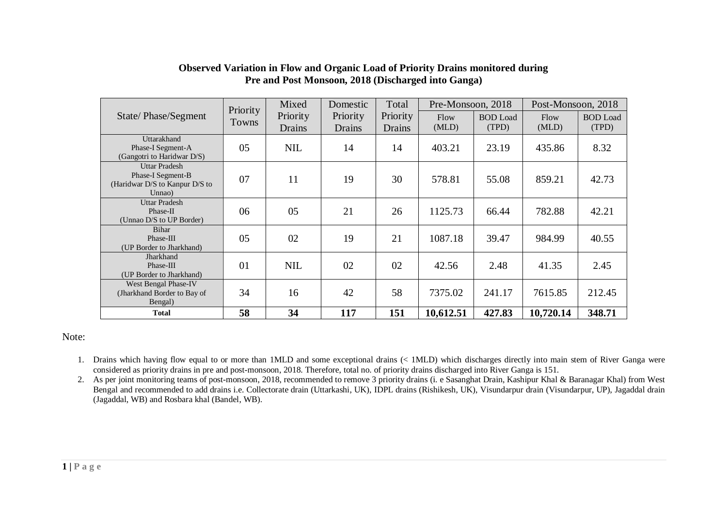|                                                     | Priority                                           | Mixed<br>Domestic |          | Total         | Pre-Monsoon, 2018 |                 | Post-Monsoon, 2018 |                 |  |
|-----------------------------------------------------|----------------------------------------------------|-------------------|----------|---------------|-------------------|-----------------|--------------------|-----------------|--|
| State/Phase/Segment                                 | <b>Towns</b>                                       | Priority          | Priority | Priority      | Flow              | <b>BOD</b> Load | Flow               | <b>BOD</b> Load |  |
|                                                     |                                                    | Drains            | Drains   | <b>Drains</b> | (MLD)             | (TPD)           | (MLD)              | (TPD)           |  |
| Uttarakhand                                         |                                                    |                   |          |               |                   |                 |                    |                 |  |
| Phase-I Segment-A<br>(Gangotri to Haridwar D/S)     | 05                                                 | <b>NIL</b>        | 14       | 14            | 403.21            | 23.19           | 435.86             | 8.32            |  |
| <b>Uttar Pradesh</b>                                |                                                    |                   |          |               |                   |                 |                    |                 |  |
| Phase-I Segment-B<br>(Haridwar D/S to Kanpur D/S to | 07                                                 | 11                | 19       | 30            | 578.81            | 55.08           | 859.21             | 42.73           |  |
| Unnao)                                              |                                                    |                   |          |               |                   |                 |                    |                 |  |
| <b>Uttar Pradesh</b>                                |                                                    |                   |          |               |                   |                 |                    |                 |  |
| Phase-II<br>(Unnao D/S to UP Border)                | 06                                                 | 05                | 21       | 26            | 1125.73           | 66.44           | 782.88             | 42.21           |  |
| Bihar                                               |                                                    |                   |          |               |                   |                 |                    |                 |  |
| Phase-III                                           | 05                                                 | 02                | 19       | 21            | 1087.18           | 39.47           | 984.99             | 40.55           |  |
| (UP Border to Jharkhand)<br>Jharkhand               |                                                    |                   |          |               |                   |                 |                    |                 |  |
| Phase-III                                           | 01                                                 | <b>NIL</b>        | 02       | 02            | 42.56             | 2.48            | 41.35              | 2.45            |  |
| (UP Border to Jharkhand)                            |                                                    |                   |          |               |                   |                 |                    |                 |  |
| West Bengal Phase-IV                                | 34<br>16<br>(Jharkhand Border to Bay of<br>Bengal) |                   |          |               |                   |                 |                    |                 |  |
|                                                     |                                                    |                   | 42       | 58            | 7375.02           | 241.17          | 7615.85            | 212.45          |  |
| <b>Total</b>                                        | 58                                                 | 34                | 117      | 151           | 10,612.51         | 427.83          | 10,720.14          | 348.71          |  |

## **Observed Variation in Flow and Organic Load of Priority Drains monitored during Pre and Post Monsoon, 2018 (Discharged into Ganga)**

## Note:

- 1. Drains which having flow equal to or more than 1MLD and some exceptional drains (< 1MLD) which discharges directly into main stem of River Ganga were considered as priority drains in pre and post-monsoon, 2018. Therefore, total no. of priority drains discharged into River Ganga is 151.
- 2. As per joint monitoring teams of post-monsoon, 2018, recommended to remove 3 priority drains (i. e Sasanghat Drain, Kashipur Khal & Baranagar Khal) from West Bengal and recommended to add drains i.e. Collectorate drain (Uttarkashi, UK), IDPL drains (Rishikesh, UK), Visundarpur drain (Visundarpur, UP), Jagaddal drain (Jagaddal, WB) and Rosbara khal (Bandel, WB).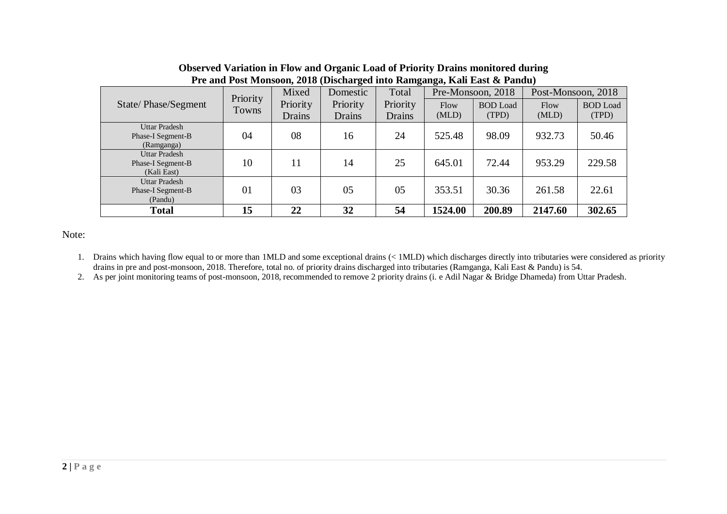|                                                          | Priority | Mixed    | Domestic       | Total    |         | Pre-Monsoon, 2018 | Post-Monsoon, 2018 |                 |  |
|----------------------------------------------------------|----------|----------|----------------|----------|---------|-------------------|--------------------|-----------------|--|
| State/Phase/Segment                                      | Towns    | Priority | Priority       | Priority | Flow    | <b>BOD</b> Load   | Flow               | <b>BOD</b> Load |  |
|                                                          |          | Drains   | Drains         | Drains   | (MLD)   | (TPD)             | (MLD)              | (TPD)           |  |
| <b>Uttar Pradesh</b><br>Phase-I Segment-B<br>(Ramganga)  | 04       | 08       | 16             | 24       | 525.48  | 98.09             | 932.73             | 50.46           |  |
| <b>Uttar Pradesh</b><br>Phase-I Segment-B<br>(Kali East) | 10       | 11       | 14             | 25       | 645.01  | 72.44             | 953.29             | 229.58          |  |
| <b>Uttar Pradesh</b><br>Phase-I Segment-B<br>(Pandu)     | 01       | 03       | 0 <sub>5</sub> | 05       | 353.51  | 30.36             | 261.58             | 22.61           |  |
| <b>Total</b>                                             | 15       | 22       | 32             | 54       | 1524.00 | 200.89            | 2147.60            | 302.65          |  |

## **Observed Variation in Flow and Organic Load of Priority Drains monitored during Pre and Post Monsoon, 2018 (Discharged into Ramganga, Kali East & Pandu)**

Note:

1. Drains which having flow equal to or more than 1MLD and some exceptional drains (< 1MLD) which discharges directly into tributaries were considered as priority drains in pre and post-monsoon, 2018. Therefore, total no. of priority drains discharged into tributaries (Ramganga, Kali East & Pandu) is 54.

2. As per joint monitoring teams of post-monsoon, 2018, recommended to remove 2 priority drains (i. e Adil Nagar & Bridge Dhameda) from Uttar Pradesh.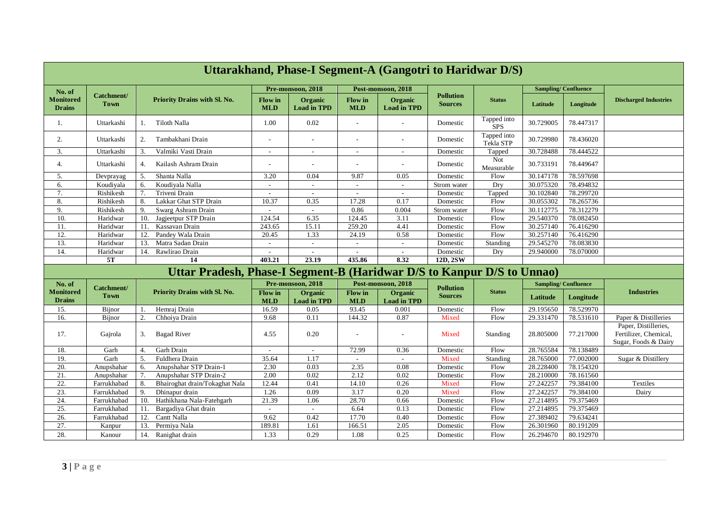|                                   | Uttarakhand, Phase-I Segment-A (Gangotri to Haridwar D/S) |                                                                        |                              |                               |                              |                               |                                    |                           |                            |           |                                                                       |  |
|-----------------------------------|-----------------------------------------------------------|------------------------------------------------------------------------|------------------------------|-------------------------------|------------------------------|-------------------------------|------------------------------------|---------------------------|----------------------------|-----------|-----------------------------------------------------------------------|--|
| No. of                            |                                                           |                                                                        |                              | Pre-monsoon, 2018             |                              | Post-monsoon, 2018            |                                    |                           | <b>Sampling/Confluence</b> |           |                                                                       |  |
| <b>Monitored</b><br><b>Drains</b> | Catchment/<br><b>Town</b>                                 | Priority Drains with Sl. No.                                           | <b>Flow</b> in<br><b>MLD</b> | Organic<br><b>Load in TPD</b> | <b>Flow</b> in<br><b>MLD</b> | Organic<br><b>Load in TPD</b> | <b>Pollution</b><br><b>Sources</b> | <b>Status</b>             | Latitude                   | Longitude | <b>Discharged Industries</b>                                          |  |
| 1.                                | Uttarkashi                                                | Tiloth Nalla<br>1.                                                     | 1.00                         | 0.02                          |                              |                               | Domestic                           | Tapped into<br><b>SPS</b> | 30.729005                  | 78.447317 |                                                                       |  |
| 2.                                | Uttarkashi                                                | Tambakhani Drain<br>2.                                                 | ٠                            |                               |                              |                               | Domestic                           | Tapped into<br>Tekla STP  | 30.729980                  | 78.436020 |                                                                       |  |
| 3.                                | Uttarkashi                                                | Valmiki Vasti Drain<br>3.                                              | $\sim$                       | $\sim$                        |                              |                               | Domestic                           | Tapped                    | 30.728488                  | 78.444522 |                                                                       |  |
| 4.                                | Uttarkashi                                                | Kailash Ashram Drain<br>$\overline{4}$ .                               |                              | $\overline{\phantom{a}}$      |                              | $\overline{\phantom{a}}$      | Domestic                           | Not<br>Measurable         | 30.733191                  | 78.449647 |                                                                       |  |
| 5.                                | Devprayag                                                 | Shanta Nalla<br>-5.                                                    | 3.20                         | 0.04                          | 9.87                         | 0.05                          | Domestic                           | Flow                      | 30.147178                  | 78.597698 |                                                                       |  |
| 6.                                | Koudiyala                                                 | 6.<br>Koudiyala Nalla                                                  | $\overline{\phantom{a}}$     | $\overline{\phantom{a}}$      | $\sim$                       | $\overline{\phantom{a}}$      | Strom water                        | Dry                       | 30.075320                  | 78.494832 |                                                                       |  |
| 7.                                | Rishikesh                                                 | Triveni Drain<br>7.                                                    | $\overline{\phantom{a}}$     | $\overline{\phantom{a}}$      | $\overline{\phantom{a}}$     |                               | Domestic                           | Tapped                    | 30.102840                  | 78.299720 |                                                                       |  |
| 8.                                | Rishikesh                                                 | Lakkar Ghat STP Drain<br>8.                                            | 10.37                        | 0.35                          | 17.28                        | 0.17                          | Domestic                           | Flow                      | 30.055302                  | 78.265736 |                                                                       |  |
| 9.                                | Rishikesh                                                 | Swarg Ashram Drain<br>9.                                               |                              | $\sim$                        | 0.86                         | 0.004                         | Strom water                        | Flow                      | 30.112775                  | 78.312279 |                                                                       |  |
| 10.                               | Haridwar                                                  | Jagjeetpur STP Drain<br>10.                                            | 124.54                       | 6.35                          | 124.45                       | 3.11                          | Domestic                           | Flow                      | 29.540370                  | 78.082450 |                                                                       |  |
| 11.                               | Haridwar                                                  | Kassavan Drain<br>11.                                                  | 243.65                       | 15.11                         | 259.20                       | 4.41                          | Domestic                           | Flow                      | 30.257140                  | 76.416290 |                                                                       |  |
| 12.                               | Haridwar                                                  | 12.<br>Pandey Wala Drain                                               | 20.45                        | 1.33                          | 24.19                        | 0.58                          | Domestic                           | Flow                      | 30.257140                  | 76.416290 |                                                                       |  |
| 13.                               | Haridwar                                                  | 13.<br>Matra Sadan Drain                                               |                              |                               |                              |                               | Domestic                           | Standing                  | 29.545270                  | 78.083830 |                                                                       |  |
| 14.                               | Haridwar                                                  | 14.<br>Rawlirao Drain                                                  | $\sim$                       | $\sim$                        | $\sim$                       | $\overline{\phantom{a}}$      | Domestic                           | Dry                       | 29.940000                  | 78.070000 |                                                                       |  |
|                                   | 5T                                                        | 14                                                                     | 403.21                       | 23.19                         | 435.86                       | 8.32                          | $12D, 2S\overline{W}$              |                           |                            |           |                                                                       |  |
|                                   |                                                           | Uttar Pradesh, Phase-I Segment-B (Haridwar D/S to Kanpur D/S to Unnao) |                              |                               |                              |                               |                                    |                           |                            |           |                                                                       |  |
| No. of                            | Catchment/                                                |                                                                        |                              | Pre-monsoon, 2018             |                              | Post-monsoon, 2018            | <b>Pollution</b>                   |                           | <b>Sampling/Confluence</b> |           |                                                                       |  |
| <b>Monitored</b><br><b>Drains</b> | <b>Town</b>                                               | Priority Drains with Sl. No.                                           | <b>Flow</b> in<br><b>MLD</b> | Organic<br><b>Load in TPD</b> | <b>Flow</b> in<br><b>MLD</b> | Organic<br><b>Load in TPD</b> | <b>Sources</b>                     | <b>Status</b>             | Latitude                   | Longitude | <b>Industries</b>                                                     |  |
| 15.                               | Bijnor                                                    | Hemraj Drain                                                           | 16.59                        | 0.05                          | 93.45                        | 0.001                         | Domestic                           | Flow                      | 29.195650                  | 78.529970 |                                                                       |  |
| 16.                               | Bijnor                                                    | 2.<br>Chhoiya Drain                                                    | 9.68                         | 0.11                          | 144.32                       | 0.87                          | Mixed                              | Flow                      | 29.331470                  | 78.531610 | Paper & Distilleries                                                  |  |
| 17.                               | Gajrola                                                   | 3.<br><b>Bagad River</b>                                               | 4.55                         | 0.20                          |                              | $\overline{a}$                | Mixed                              | Standing                  | 28.805000                  | 77.217000 | Paper, Distilleries,<br>Fertilizer, Chemical,<br>Sugar, Foods & Dairy |  |
| 18.                               | Garh                                                      | Garh Drain<br>4.                                                       | $\overline{\phantom{a}}$     | $\overline{\phantom{a}}$      | 72.99                        | 0.36                          | Domestic                           | Flow                      | 28.765584                  | 78.138489 |                                                                       |  |
| 19.                               | Garh                                                      | 5.<br>Fuldhera Drain                                                   | 35.64                        | 1.17                          | $\sim$                       | $\overline{a}$                | Mixed                              | Standing                  | 28.765000                  | 77.002000 | Sugar & Distillery                                                    |  |
| 20.                               | Anupshahar                                                | Anupshahar STP Drain-1<br>6.                                           | 2.30                         | 0.03                          | 2.35                         | 0.08                          | Domestic                           | Flow                      | 28.228400                  | 78.154320 |                                                                       |  |
| 21.                               | Anupshahar                                                | Anupshahar STP Drain-2<br>7.                                           | 2.00                         | 0.02                          | 2.12                         | 0.02                          | Domestic                           | Flow                      | 28.210000                  | 78.161560 |                                                                       |  |
| 22.                               | Farrukhabad                                               | Bhairoghat drain/Tokaghat Nala<br>8.                                   | 12.44                        | 0.41                          | 14.10                        | 0.26                          | Mixed                              | Flow                      | 27.242257                  | 79.384100 | Textiles                                                              |  |
| 23.                               | Farrukhabad                                               | 9.<br>Dhinapur drain                                                   | 1.26                         | 0.09                          | 3.17                         | 0.20                          | Mixed                              | Flow                      | 27.242257                  | 79.384100 | Dairy                                                                 |  |
| 24.                               | Farrukhabad                                               | Hathikhana Nala-Fatehgarh<br>10.                                       | 21.39                        | 1.06                          | 28.70                        | 0.66                          | Domestic                           | Flow                      | 27.214895                  | 79.375469 |                                                                       |  |
| 25.                               | Farrukhabad                                               | 11.<br>Bargadiya Ghat drain                                            | $\sim$                       | $\sim$                        | 6.64                         | 0.13                          | Domestic                           | Flow                      | 27.214895                  | 79.375469 |                                                                       |  |
| 26.                               | Farrukhabad                                               | 12.<br>Cantt Nalla                                                     | 9.62                         | 0.42                          | 17.70                        | 0.40                          | Domestic                           | Flow                      | 27.389402                  | 79.634241 |                                                                       |  |
| 27.                               | Kanpur                                                    | Permiya Nala<br>13.                                                    | 189.81                       | 1.61                          | 166.51                       | 2.05                          | Domestic                           | Flow                      | 26.301960                  | 80.191209 |                                                                       |  |
| 28.                               | Kanour                                                    | 14.<br>Ranighat drain                                                  | 1.33                         | 0.29                          | 1.08                         | 0.25                          | Domestic                           | Flow                      | 26.294670                  | 80.192970 |                                                                       |  |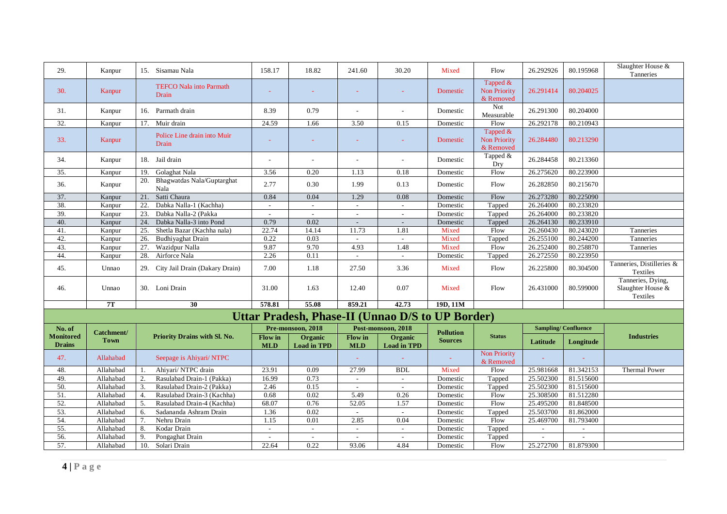| 29.                               | Kanpur          | 15. Sisamau Nala                          | 158.17                | 18.82                         | 241.60                   | 30.20                                                   | Mixed            | Flow                                         | 26.292926      | 80.195968                  | Slaughter House &<br>Tanneries                     |
|-----------------------------------|-----------------|-------------------------------------------|-----------------------|-------------------------------|--------------------------|---------------------------------------------------------|------------------|----------------------------------------------|----------------|----------------------------|----------------------------------------------------|
| 30.                               | Kanpur          | <b>TEFCO Nala into Parmath</b><br>Drain   |                       |                               |                          |                                                         | Domestic         | Tapped &<br><b>Non Priority</b><br>& Removed | 26.291414      | 80.204025                  |                                                    |
| 31.                               | Kanpur          | 16. Parmath drain                         | 8.39                  | 0.79                          |                          | $\overline{a}$                                          | Domestic         | Not<br>Measurable                            | 26.291300      | 80.204000                  |                                                    |
| 32.                               | Kanpur          | Muir drain<br>17.                         | 24.59                 | 1.66                          | 3.50                     | 0.15                                                    | Domestic         | Flow                                         | 26.292178      | 80.210943                  |                                                    |
| 33.                               | <b>Kanpur</b>   | Police Line drain into Muir<br>Drain      |                       |                               |                          |                                                         | Domestic         | Tapped &<br><b>Non Priority</b><br>& Removed | 26.284480      | 80.213290                  |                                                    |
| 34.                               | Kanpur          | 18. Jail drain                            | $\sim$                | $\overline{a}$                |                          |                                                         | Domestic         | Tapped &<br>Dry                              | 26.284458      | 80.213360                  |                                                    |
| 35.                               | Kanpur          | Golaghat Nala<br>19.                      | 3.56                  | 0.20                          | 1.13                     | 0.18                                                    | Domestic         | Flow                                         | 26.275620      | 80.223900                  |                                                    |
| 36.                               | Kanpur          | Bhagwatdas Nala/Guptarghat<br>20.<br>Nala | 2.77                  | 0.30                          | 1.99                     | 0.13                                                    | Domestic         | Flow                                         | 26.282850      | 80.215670                  |                                                    |
| 37.                               | Kanpur          | 21.<br>Satti Chaura                       | 0.84                  | 0.04                          | 1.29                     | 0.08                                                    | Domestic         | Flow                                         | 26.273280      | 80.225090                  |                                                    |
| 38.                               | Kanpur          | Dabka Nalla-1 (Kachha)<br>22.             | $\sim$                | $\sim$                        | $\sim$                   | $\sim$                                                  | Domestic         | Tapped                                       | 26.264000      | 80.233820                  |                                                    |
| 39.                               | Kanpur          | 23.<br>Dabka Nalla-2 (Pakka               | $\sim$                | $\overline{a}$                | $\overline{\phantom{a}}$ | $\overline{\phantom{a}}$                                | Domestic         | Tapped                                       | 26.264000      | 80.233820                  |                                                    |
| 40.                               | Kanpur          | Dabka Nalla-3 into Pond<br>24.            | 0.79                  | 0.02                          | $\sim$                   | $\overline{\phantom{a}}$                                | Domestic         | Tapped                                       | 26.264130      | 80.233910                  |                                                    |
| 41.                               | Kanpur          | 25.<br>Shetla Bazar (Kachha nala)         | 22.74                 | 14.14                         | 11.73                    | 1.81                                                    | Mixed            | Flow                                         | 26.260430      | 80.243020                  | Tanneries                                          |
| 42.                               | Kanpur          | Budhiyaghat Drain<br>26.                  | 0.22                  | 0.03                          | $\sim$                   | $\sim$                                                  | Mixed            | Tapped                                       | 26.255100      | 80.244200                  | Tanneries                                          |
| 43.                               | Kanpur          | 27.<br>Wazidpur Nalla                     | 9.87                  | 9.70                          | 4.93                     | 1.48                                                    | Mixed            | Flow                                         | 26.252400      | 80.258870                  | Tanneries                                          |
| 44.                               | Kanpur          | 28.<br>Airforce Nala                      | 2.26                  | 0.11                          | $\sim$                   | $\overline{\phantom{a}}$                                | Domestic         | Tapped                                       | 26.272550      | 80.223950                  |                                                    |
| 45.                               | Unnao           | 29. City Jail Drain (Dakary Drain)        | 7.00                  | 1.18                          | 27.50                    | 3.36                                                    | Mixed            | Flow                                         | 26.225800      | 80.304500                  | Tanneries, Distilleries &<br>Textiles              |
| 46.                               | Unnao           | 30. Loni Drain                            | 31.00                 | 1.63                          | 12.40                    | 0.07                                                    | Mixed            | Flow                                         | 26.431000      | 80.599000                  | Tanneries, Dying,<br>Slaughter House &<br>Textiles |
|                                   | $\overline{7T}$ | $\overline{30}$                           | 578.81                | 55.08                         | 859.21                   | 42.73                                                   | 19D, 11M         |                                              |                |                            |                                                    |
|                                   |                 |                                           |                       |                               |                          | <b>Uttar Pradesh, Phase-II (Unnao D/S to UP Border)</b> |                  |                                              |                |                            |                                                    |
| No. of                            | Catchment/      |                                           |                       | Pre-monsoon, 2018             |                          | Post-monsoon, 2018                                      | <b>Pollution</b> |                                              |                | <b>Sampling/Confluence</b> |                                                    |
| <b>Monitored</b><br><b>Drains</b> | <b>Town</b>     | Priority Drains with Sl. No.              | Flow in<br><b>MLD</b> | Organic<br><b>Load in TPD</b> | Flow in<br><b>MLD</b>    | Organic<br><b>Load in TPD</b>                           | <b>Sources</b>   | <b>Status</b>                                | Latitude       | Longitude                  | <b>Industries</b>                                  |
| 47.                               | Allahabad       | Seepage is Ahiyari/NTPC                   |                       |                               |                          |                                                         |                  | Non Priority<br>& Removed                    |                |                            |                                                    |
| 48.                               | Allahabad       | Ahiyari/ NTPC drain<br>-1.                | 23.91                 | 0.09                          | 27.99                    | <b>BDL</b>                                              | Mixed            | Flow                                         | 25.981668      | 81.342153                  | Thermal Power                                      |
| 49.                               | Allahabad       | Rasulabad Drain-1 (Pakka)<br>2.           | 16.99                 | 0.73                          |                          | $\sim$                                                  | Domestic         | Tapped                                       | 25.502300      | 81.515600                  |                                                    |
| 50.                               | Allahabad       | 3.<br>Rasulabad Drain-2 (Pakka)           | 2.46                  | 0.15                          | $\overline{\phantom{a}}$ | $\sim$                                                  | Domestic         | Tapped                                       | 25.502300      | 81.515600                  |                                                    |
| 51.                               | Allahabad       | Rasulabad Drain-3 (Kachha)<br>4.          | 0.68                  | 0.02                          | 5.49                     | 0.26                                                    | Domestic         | Flow                                         | 25.308500      | 81.512280                  |                                                    |
| 52.                               | Allahabad       | 5.<br>Rasulabad Drain-4 (Kachha)          | 68.07                 | 0.76                          | 52.05                    | 1.57                                                    | Domestic         | Flow                                         | 25.495200      | 81.848500                  |                                                    |
| 53.                               | Allahabad       | 6.<br>Sadananda Ashram Drain              | 1.36                  | 0.02                          | $\sim$                   | $\sim$                                                  | Domestic         | Tapped                                       | 25.503700      | 81.862000                  |                                                    |
| 54.                               | Allahabad       | Nehru Drain<br>7.                         | 1.15                  | 0.01                          | 2.85                     | 0.04                                                    | Domestic         | Flow                                         | 25.469700      | 81.793400                  |                                                    |
| 55.                               | Allahabad       | 8.<br>Kodar Drain                         | $\sim$                | $\sim$                        | $\sim$                   | $\sim$                                                  | Domestic         | Tapped                                       | $\sim$         | $\sim$                     |                                                    |
| 56.                               | Allahabad       | 9.<br>Pongaghat Drain                     | $\sim$                | $\sim$                        | $\sim$                   | $\overline{a}$                                          | Domestic         | Tapped                                       | $\overline{a}$ | $\sim$                     |                                                    |
| $\overline{57}$ .                 | Allahabad       | 10.<br>Solari Drain                       | 22.64                 | 0.22                          | 93.06                    | 4.84                                                    | Domestic         | Flow                                         | 25.272700      | 81.879300                  |                                                    |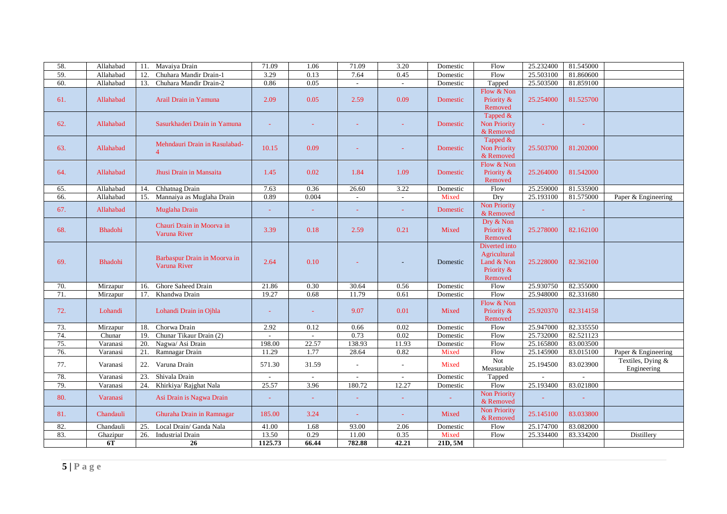| 58. | Allahabad      | Mavaiva Drain<br>11.             | 71.09   | 1.06         | 71.09  | 3.20                     | Domestic | Flow                     | 25.232400 | 81.545000 |                     |
|-----|----------------|----------------------------------|---------|--------------|--------|--------------------------|----------|--------------------------|-----------|-----------|---------------------|
| 59. | Allahabad      | Chuhara Mandir Drain-1<br>12.    | 3.29    | 0.13         | 7.64   | 0.45                     | Domestic | Flow                     | 25.503100 | 81.860600 |                     |
| 60. | Allahabad      | Chuhara Mandir Drain-2<br>13.    | 0.86    | 0.05         | $\sim$ | $\sim$                   | Domestic | Tapped                   | 25.503500 | 81.859100 |                     |
|     |                |                                  |         |              |        |                          |          | Flow & Non               |           |           |                     |
| 61. | Allahabad      | Arail Drain in Yamuna            | 2.09    | 0.05         | 2.59   | 0.09                     | Domestic | Priority &               | 25.254000 | 81.525700 |                     |
|     |                |                                  |         |              |        |                          |          | Removed                  |           |           |                     |
|     |                |                                  |         |              |        |                          |          | Tapped &                 |           |           |                     |
| 62. | Allahabad      | Sasurkhaderi Drain in Yamuna     |         |              |        |                          | Domestic | <b>Non Priority</b>      |           |           |                     |
|     |                |                                  |         |              |        |                          |          | & Removed                |           |           |                     |
|     |                | Mehndauri Drain in Rasulabad-    |         |              |        |                          |          | Tapped &                 |           |           |                     |
| 63. | Allahabad      | $\overline{4}$                   | 10.15   | 0.09         |        |                          | Domestic | <b>Non Priority</b>      | 25.503700 | 81.202000 |                     |
|     |                |                                  |         |              |        |                          |          | & Removed<br>Flow & Non  |           |           |                     |
| 64. | Allahabad      | Jhusi Drain in Mansaita          | 1.45    | 0.02         | 1.84   | 1.09                     | Domestic | Priority &               | 25.264000 | 81.542000 |                     |
|     |                |                                  |         |              |        |                          |          | Removed                  |           |           |                     |
| 65. | Allahabad      | Chhatnag Drain<br>14.            | 7.63    | 0.36         | 26.60  | 3.22                     | Domestic | Flow                     | 25.259000 | 81.535900 |                     |
| 66. | Allahabad      | Mannaiya as Muglaha Drain<br>15. | 0.89    | 0.004        | $\sim$ | $\sim$                   | Mixed    | Dry                      | 25.193100 | 81.575000 | Paper & Engineering |
|     |                |                                  |         |              |        |                          |          | <b>Non Priority</b>      |           |           |                     |
| 67. | Allahabad      | Muglaha Drain                    |         | $\sim$       | $\sim$ | $\sim$                   | Domestic | & Removed                |           | ÷         |                     |
|     |                |                                  |         |              |        |                          |          | Dry & Non                |           |           |                     |
| 68. | Bhadohi        | Chauri Drain in Moorva in        | 3.39    | 0.18         | 2.59   | 0.21                     | Mixed    | Priority &               | 25.278000 | 82.162100 |                     |
|     |                | Varuna River                     |         |              |        |                          |          | Removed                  |           |           |                     |
|     |                |                                  |         |              |        |                          |          | Diverted into            |           |           |                     |
|     |                | Barbaspur Drain in Moorva in     |         |              |        |                          |          | Agricultural             |           |           |                     |
| 69. | <b>Bhadohi</b> | Varuna River                     | 2.64    | 0.10         |        |                          | Domestic | Land & Non               | 25.228000 | 82.362100 |                     |
|     |                |                                  |         |              |        |                          |          | Priority &               |           |           |                     |
|     |                |                                  |         |              |        |                          |          | Removed                  |           |           |                     |
| 70. | Mirzapur       | Ghore Saheed Drain<br>16.        | 21.86   | 0.30         | 30.64  | 0.56                     | Domestic | Flow                     | 25.930750 | 82.355000 |                     |
| 71. | Mirzapur       | Khandwa Drain<br>17.             | 19.27   | 0.68         | 11.79  | 0.61                     | Domestic | Flow                     | 25.948000 | 82.331680 |                     |
|     | Lohandi        |                                  |         |              |        |                          |          | Flow & Non<br>Priority & |           |           |                     |
| 72. |                | Lohandi Drain in Ojhla           |         | a.           | 9.07   | 0.01                     | Mixed    | Removed                  | 25.920370 | 82.314158 |                     |
| 73. | Mirzapur       | Chorwa Drain<br>18.              | 2.92    | 0.12         | 0.66   | 0.02                     | Domestic | Flow                     | 25.947000 | 82.335550 |                     |
| 74. | Chunar         | Chunar Tikaur Drain (2)<br>19.   |         |              | 0.73   | 0.02                     | Domestic | Flow                     | 25.732000 | 82.521123 |                     |
| 75. | Varanasi       | 20.<br>Nagwa/ Asi Drain          | 198.00  | 22.57        | 138.93 | 11.93                    | Domestic | Flow                     | 25.165800 | 83.003500 |                     |
| 76. | Varanasi       | Ramnagar Drain<br>21.            | 11.29   | 1.77         | 28.64  | 0.82                     | Mixed    | Flow                     | 25.145900 | 83.015100 | Paper & Engineering |
|     |                |                                  |         |              |        |                          |          | Not                      |           |           | Textiles, Dying &   |
| 77. | Varanasi       | 22. Varuna Drain                 | 571.30  | 31.59        | $\sim$ | $\overline{\phantom{a}}$ | Mixed    | Measurable               | 25.194500 | 83.023900 | Engineering         |
| 78. | Varanasi       | Shivala Drain<br>23.             |         | $\mathbf{r}$ |        |                          | Domestic | Tapped                   |           |           |                     |
| 79. | Varanasi       | 24.<br>Khirkiya/ Rajghat Nala    | 25.57   | 3.96         | 180.72 | 12.27                    | Domestic | Flow                     | 25.193400 | 83.021800 |                     |
|     |                |                                  |         |              |        |                          |          | Non Priority             |           |           |                     |
| 80. | Varanasi       | Asi Drain is Nagwa Drain         |         | ÷.           |        |                          |          | & Removed                |           |           |                     |
| 81. | Chandauli      | Ghuraha Drain in Ramnagar        | 185.00  | 3.24         |        |                          | Mixed    | <b>Non Priority</b>      | 25.145100 | 83.033800 |                     |
|     |                |                                  |         |              |        |                          |          | & Removed                |           |           |                     |
| 82. | Chandauli      | 25.<br>Local Drain/ Ganda Nala   | 41.00   | 1.68         | 93.00  | 2.06                     | Domestic | Flow                     | 25.174700 | 83.082000 |                     |
| 83. | Ghazipur       | 26.<br><b>Industrial Drain</b>   | 13.50   | 0.29         | 11.00  | 0.35                     | Mixed    | Flow                     | 25.334400 | 83.334200 | Distillery          |
|     | 6T             | 26                               | 1125.73 | 66.44        | 782.88 | 42.21                    | 21D, 5M  |                          |           |           |                     |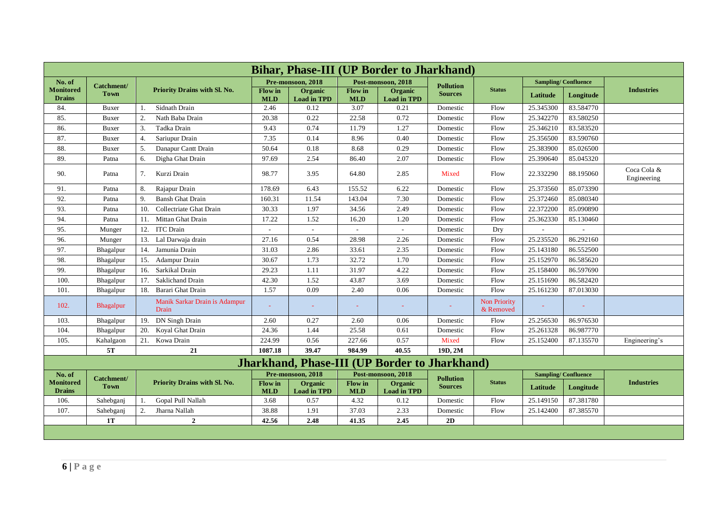| <b>Bihar, Phase-III (UP Border to Jharkhand)</b> |             |                                        |                              |                               |                              |                                                      |                  |                                  |           |                            |                            |
|--------------------------------------------------|-------------|----------------------------------------|------------------------------|-------------------------------|------------------------------|------------------------------------------------------|------------------|----------------------------------|-----------|----------------------------|----------------------------|
| No. of                                           | Catchment/  |                                        |                              | Pre-monsoon, 2018             |                              | Post-monsoon, 2018                                   | <b>Pollution</b> |                                  |           | <b>Sampling/Confluence</b> |                            |
| <b>Monitored</b><br><b>Drains</b>                | <b>Town</b> | Priority Drains with Sl. No.           | <b>Flow</b> in<br><b>MLD</b> | Organic<br><b>Load in TPD</b> | <b>Flow</b> in<br><b>MLD</b> | <b>Organic</b><br><b>Load in TPD</b>                 | <b>Sources</b>   | <b>Status</b>                    | Latitude  | Longitude                  | <b>Industries</b>          |
| 84.                                              | Buxer       | Sidnath Drain<br>1.                    | 2.46                         | 0.12                          | 3.07                         | 0.21                                                 | Domestic         | Flow                             | 25.345300 | 83.584770                  |                            |
| 85.                                              | Buxer       | Nath Baba Drain<br>2.                  | 20.38                        | 0.22                          | 22.58                        | 0.72                                                 | Domestic         | Flow                             | 25.342270 | 83.580250                  |                            |
| 86.                                              | Buxer       | 3.<br>Tadka Drain                      | 9.43                         | 0.74                          | 11.79                        | 1.27                                                 | Domestic         | Flow                             | 25.346210 | 83.583520                  |                            |
| 87.                                              | Buxer       | $\overline{4}$ .<br>Sariupur Drain     | 7.35                         | 0.14                          | 8.96                         | 0.40                                                 | Domestic         | Flow                             | 25.356500 | 83.590760                  |                            |
| 88.                                              | Buxer       | 5.<br>Danapur Cantt Drain              | 50.64                        | 0.18                          | 8.68                         | 0.29                                                 | Domestic         | Flow                             | 25.383900 | 85.026500                  |                            |
| 89.                                              | Patna       | Digha Ghat Drain<br>6.                 | 97.69                        | 2.54                          | 86.40                        | 2.07                                                 | Domestic         | Flow                             | 25.390640 | 85.045320                  |                            |
| 90.                                              | Patna       | Kurzi Drain<br>7.                      | 98.77                        | 3.95                          | 64.80                        | 2.85                                                 | Mixed            | Flow                             | 22.332290 | 88.195060                  | Coca Cola &<br>Engineering |
| 91.                                              | Patna       | Rajapur Drain<br>8.                    | 178.69                       | 6.43                          | 155.52                       | 6.22                                                 | Domestic         | Flow                             | 25.373560 | 85.073390                  |                            |
| 92.                                              | Patna       | 9.<br><b>Bansh Ghat Drain</b>          | 160.31                       | 11.54                         | 143.04                       | 7.30                                                 | Domestic         | Flow                             | 25.372460 | 85.080340                  |                            |
| 93.                                              | Patna       | Collectriate Ghat Drain<br>10.         | 30.33                        | 1.97                          | 34.56                        | 2.49                                                 | Domestic         | Flow                             | 22.372200 | 85.090890                  |                            |
| 94.                                              | Patna       | Mittan Ghat Drain<br>11.               | 17.22                        | 1.52                          | 16.20                        | 1.20                                                 | Domestic         | Flow                             | 25.362330 | 85.130460                  |                            |
| 95.                                              | Munger      | <b>ITC</b> Drain<br>12.                | $\mathcal{L}_{\mathcal{A}}$  | $\sim$                        | $\overline{a}$               | $\overline{a}$                                       | Domestic         | Dry                              |           |                            |                            |
| 96.                                              | Munger      | 13. Lal Darwaja drain                  | 27.16                        | 0.54                          | 28.98                        | 2.26                                                 | Domestic         | Flow                             | 25.235520 | 86.292160                  |                            |
| 97.                                              | Bhagalpur   | Jamunia Drain<br>14.                   | 31.03                        | 2.86                          | 33.61                        | 2.35                                                 | Domestic         | Flow                             | 25.143180 | 86.552500                  |                            |
| 98.                                              | Bhagalpur   | <b>Adampur Drain</b><br>15.            | 30.67                        | 1.73                          | 32.72                        | 1.70                                                 | Domestic         | Flow                             | 25.152970 | 86.585620                  |                            |
| 99.                                              | Bhagalpur   | Sarkikal Drain<br>16.                  | 29.23                        | 1.11                          | 31.97                        | 4.22                                                 | Domestic         | Flow                             | 25.158400 | 86.597690                  |                            |
| 100.                                             | Bhagalpur   | 17.<br>Saklichand Drain                | 42.30                        | 1.52                          | 43.87                        | 3.69                                                 | Domestic         | Flow                             | 25.151690 | 86.582420                  |                            |
| 101.                                             | Bhagalpur   | Barari Ghat Drain<br>18.               | 1.57                         | 0.09                          | 2.40                         | 0.06                                                 | Domestic         | Flow                             | 25.161230 | 87.013030                  |                            |
| 102.                                             | Bhagalpur   | Manik Sarkar Drain is Adampur<br>Drain |                              | $\blacksquare$                |                              |                                                      |                  | <b>Non Priority</b><br>& Removed |           |                            |                            |
| 103.                                             | Bhagalpur   | DN Singh Drain<br>19.                  | 2.60                         | 0.27                          | 2.60                         | 0.06                                                 | Domestic         | Flow                             | 25.256530 | 86.976530                  |                            |
| 104.                                             | Bhagalpur   | 20.<br>Koyal Ghat Drain                | 24.36                        | 1.44                          | 25.58                        | 0.61                                                 | Domestic         | Flow                             | 25.261328 | 86.987770                  |                            |
| 105.                                             | Kahalgaon   | 21. Kowa Drain                         | 224.99                       | 0.56                          | 227.66                       | 0.57                                                 | Mixed            | Flow                             | 25.152400 | 87.135570                  | Engineering's              |
|                                                  | 5T          | 21                                     | 1087.18                      | 39.47                         | 984.99                       | 40.55                                                | 19D.2M           |                                  |           |                            |                            |
|                                                  |             |                                        |                              |                               |                              | <b>Jharkhand, Phase-III (UP Border to Jharkhand)</b> |                  |                                  |           |                            |                            |
| No. of                                           | Catchment/  |                                        |                              | Pre-monsoon, 2018             |                              | Post-monsoon, 2018                                   | <b>Pollution</b> |                                  |           | <b>Sampling/Confluence</b> |                            |
| <b>Monitored</b><br><b>Drains</b>                | <b>Town</b> | Priority Drains with Sl. No.           | <b>Flow</b> in<br><b>MLD</b> | Organic<br><b>Load in TPD</b> | Flow in<br><b>MLD</b>        | Organic<br><b>Load in TPD</b>                        | <b>Sources</b>   | <b>Status</b>                    | Latitude  | Longitude                  | <b>Industries</b>          |
| 106.                                             | Sahebganj   | Gopal Pull Nallah<br>1.                | 3.68                         | 0.57                          | 4.32                         | 0.12                                                 | Domestic         | Flow                             | 25.149150 | 87.381780                  |                            |
| 107.                                             | Sahebganj   | 2.<br>Jharna Nallah                    | 38.88                        | 1.91                          | 37.03                        | 2.33                                                 | Domestic         | Flow                             | 25.142400 | 87.385570                  |                            |
|                                                  | <b>1T</b>   | $\overline{2}$                         | 42.56                        | 2.48                          | 41.35                        | 2.45                                                 | 2D               |                                  |           |                            |                            |
|                                                  |             |                                        |                              |                               |                              |                                                      |                  |                                  |           |                            |                            |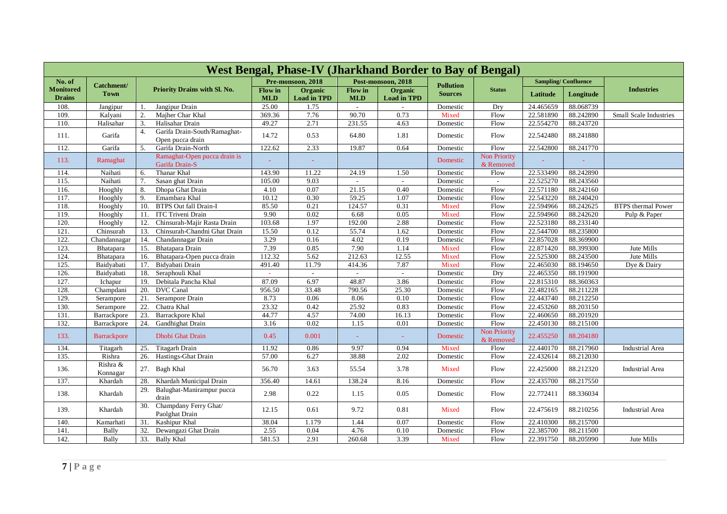| <b>West Bengal, Phase-IV (Jharkhand Border to Bay of Bengal)</b> |                           |                                                        |                       |                               |                              |                               |                                    |                                  |           |                            |                           |  |
|------------------------------------------------------------------|---------------------------|--------------------------------------------------------|-----------------------|-------------------------------|------------------------------|-------------------------------|------------------------------------|----------------------------------|-----------|----------------------------|---------------------------|--|
| No. of                                                           |                           |                                                        |                       | Pre-monsoon, 2018             |                              | Post-monsoon, 2018            |                                    |                                  |           | <b>Sampling/Confluence</b> |                           |  |
| <b>Monitored</b><br><b>Drains</b>                                | Catchment/<br><b>Town</b> | Priority Drains with Sl. No.                           | Flow in<br><b>MLD</b> | Organic<br><b>Load in TPD</b> | <b>Flow</b> in<br><b>MLD</b> | Organic<br><b>Load in TPD</b> | <b>Pollution</b><br><b>Sources</b> | <b>Status</b>                    | Latitude  | Longitude                  | <b>Industries</b>         |  |
| 108.                                                             | Jangipur                  | Jangipur Drain<br>1.                                   | 25.00                 | 1.75                          |                              |                               | Domestic                           | Drv                              | 24.465659 | 88.068739                  |                           |  |
| 109.                                                             | Kalyani                   | $\overline{2}$ .<br>Majher Char Khal                   | 369.36                | 7.76                          | 90.70                        | 0.73                          | Mixed                              | Flow                             | 22.581890 | 88.242890                  | Small Scale Industries    |  |
| 110.                                                             | Halisahar                 | 3.<br>Halisahar Drain                                  | 49.27                 | 2.71                          | 231.55                       | 4.63                          | Domestic                           | Flow                             | 22.554270 | 88.243720                  |                           |  |
| 111.                                                             | Garifa                    | Garifa Drain-South/Ramaghat-<br>4.<br>Open pucca drain | 14.72                 | 0.53                          | 64.80                        | 1.81                          | Domestic                           | Flow                             | 22.542480 | 88.241880                  |                           |  |
| 112.                                                             | Garifa                    | 5.<br>Garifa Drain-North                               | 122.62                | 2.33                          | 19.87                        | 0.64                          | Domestic                           | Flow                             | 22.542800 | 88.241770                  |                           |  |
| 113.                                                             | Ramaghat                  | Ramaghat-Open pucca drain is<br>Garifa Drain-S         |                       |                               |                              |                               | Domestic                           | <b>Non Priority</b><br>& Removed |           |                            |                           |  |
| 114.                                                             | Naihati                   | Thanar Khal<br>6.                                      | 143.90                | 11.22                         | 24.19                        | 1.50                          | Domestic                           | Flow                             | 22.533490 | 88.242890                  |                           |  |
| 115.                                                             | Naihati                   | 7.<br>Sasan ghat Drain                                 | 105.00                | 9.03                          |                              |                               | Domestic                           | $\overline{\phantom{a}}$         | 22.525270 | 88.243560                  |                           |  |
| 116.                                                             | Hooghly                   | 8.<br>Dhopa Ghat Drain                                 | 4.10                  | 0.07                          | 21.15                        | 0.40                          | Domestic                           | Flow                             | 22.571180 | 88.242160                  |                           |  |
| 117.                                                             | Hooghly                   | 9.<br>Emambara Khal                                    | 10.12                 | 0.30                          | 59.25                        | 1.07                          | Domestic                           | Flow                             | 22.543220 | 88.240420                  |                           |  |
| 118.                                                             | Hooghly                   | <b>BTPS</b> Out fall Drain-I<br>10.                    | 85.50                 | 0.21                          | 124.57                       | 0.31                          | Mixed                              | Flow                             | 22.594966 | 88.242625                  | <b>BTPS</b> thermal Power |  |
| 119                                                              | Hooghly                   | 11<br><b>ITC Triveni Drain</b>                         | 9.90                  | 0.02                          | 6.68                         | 0.05                          | Mixed                              | Flow                             | 22.594960 | 88.242620                  | Pulp & Paper              |  |
| 120.                                                             | Hooghly                   | 12.<br>Chinsurah-Majir Rasta Drain                     | 103.68                | 1.97                          | 192.00                       | 2.88                          | Domestic                           | Flow                             | 22.523180 | 88.233140                  |                           |  |
| 121                                                              | Chinsurah                 | 13.<br>Chinsurah-Chandni Ghat Drain                    | 15.50                 | 0.12                          | 55.74                        | 1.62                          | Domestic                           | Flow                             | 22.544700 | 88.235800                  |                           |  |
| 122                                                              | Chandannagar              | 14.<br>Chandannagar Drain                              | 3.29                  | 0.16                          | 4.02                         | 0.19                          | Domestic                           | Flow                             | 22.857028 | 88.369900                  |                           |  |
| 123.                                                             | Bhatapara                 | 15.<br>Bhatapara Drain                                 | 7.39                  | 0.85                          | 7.90                         | 1.14                          | Mixed                              | Flow                             | 22.871420 | 88.399300                  | Jute Mills                |  |
| 124.                                                             | Bhatapara                 | 16.<br>Bhatapara-Open pucca drain                      | 112.32                | 5.62                          | 212.63                       | 12.55                         | Mixed                              | Flow                             | 22.525300 | 88.243500                  | Jute Mills                |  |
| 125.                                                             | Baidvabati                | 17.<br>Bidyabati Drain                                 | 491.40                | 11.79                         | 414.36                       | 7.87                          | Mixed                              | Flow                             | 22.465030 | 88.194650                  | Dye & Dairy               |  |
| 126.                                                             | Baidyabati                | 18.<br>Seraphouli Khal                                 |                       | $\mathcal{L}_{\mathcal{A}}$   |                              | $\sim$                        | Domestic                           | Dry                              | 22.465350 | 88.191900                  |                           |  |
| 127.                                                             | Ichapur                   | Debitala Pancha Khal<br>19.                            | 87.09                 | 6.97                          | 48.87                        | 3.86                          | Domestic                           | Flow                             | 22.815310 | 88.360363                  |                           |  |
| 128.                                                             | Champdani                 | 20.<br><b>DVC</b> Canal                                | 956.50                | 33.48                         | 790.56                       | 25.30                         | Domestic                           | Flow                             | 22.482165 | 88.211228                  |                           |  |
| 129.                                                             | Serampore                 | $\overline{21}$ .<br>Serampore Drain                   | 8.73                  | 0.06                          | 8.06                         | 0.10                          | Domestic                           | Flow                             | 22.443740 | 88.212250                  |                           |  |
| 130.                                                             | Serampore                 | Chatra Khal<br>22.                                     | 23.32                 | 0.42                          | 25.92                        | 0.83                          | Domestic                           | Flow                             | 22.453260 | 88.203150                  |                           |  |
| 131.                                                             | Barrackpore               | 23.<br><b>Barrackpore Khal</b>                         | 44.77                 | 4.57                          | 74.00                        | 16.13                         | Domestic                           | Flow                             | 22.460650 | 88.201920                  |                           |  |
| 132.                                                             | Barrackpore               | 24.<br><b>Gandhighat Drain</b>                         | 3.16                  | 0.02                          | 1.15                         | 0.01                          | Domestic                           | Flow                             | 22.450130 | 88.215100                  |                           |  |
| 133.                                                             | <b>Barrackpore</b>        | <b>Dhobi Ghat Drain</b>                                | 0.45                  | 0.001                         |                              | ÷                             | Domestic                           | <b>Non Priority</b><br>& Removed | 22.455250 | 88.204180                  |                           |  |
| 134.                                                             | Titagarh                  | Titagarh Drain<br>25.                                  | 11.92                 | 0.86                          | 9.97                         | 0.94                          | Mixed                              | Flow                             | 22.440170 | 88.217960                  | Industrial Area           |  |
| 135.                                                             | Rishra                    | Hastings-Ghat Drain<br>26.                             | 57.00                 | 6.27                          | 38.88                        | 2.02                          | Domestic                           | Flow                             | 22.432614 | 88.212030                  |                           |  |
| 136.                                                             | Rishra &<br>Konnagar      | 27. Bagh Khal                                          | 56.70                 | 3.63                          | 55.54                        | 3.78                          | Mixed                              | Flow                             | 22.425000 | 88.212320                  | <b>Industrial Area</b>    |  |
| 137.                                                             | Khardah                   | Khardah Municipal Drain<br>28.                         | 356.40                | 14.61                         | 138.24                       | 8.16                          | Domestic                           | Flow                             | 22.435700 | 88.217550                  |                           |  |
| 138.                                                             | Khardah                   | Balughat-Manirampur pucca<br>29.<br>drain              | 2.98                  | 0.22                          | 1.15                         | 0.05                          | Domestic                           | Flow                             | 22.772411 | 88.336034                  |                           |  |
| 139.                                                             | Khardah                   | Champdany Ferry Ghat/<br>30.<br>Paolghat Drain         | 12.15                 | 0.61                          | 9.72                         | 0.81                          | Mixed                              | Flow                             | 22.475619 | 88.210256                  | <b>Industrial Area</b>    |  |
| 140.                                                             | Kamarhati                 | Kashipur Khal<br>31.                                   | 38.04                 | 1.179                         | 1.44                         | 0.07                          | Domestic                           | Flow                             | 22.410300 | 88.215700                  |                           |  |
| 141.                                                             | Bally                     | 32.<br>Dewangazi Ghat Drain                            | 2.55                  | 0.04                          | 4.76                         | 0.10                          | Domestic                           | Flow                             | 22.385700 | 88.211500                  |                           |  |
| 142.                                                             | Bally                     | 33. Bally Khal                                         | 581.53                | 2.91                          | 260.68                       | 3.39                          | Mixed                              | Flow                             | 22.391750 | 88.205990                  | Jute Mills                |  |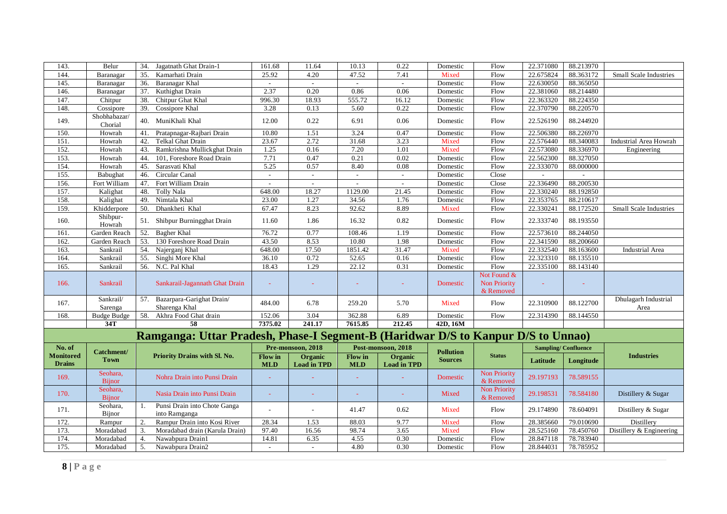| 143.                              | Belur                     | 34.<br>Jagatnath Ghat Drain-1                                                    | 161.68                       | 11.64                         | 10.13                        | 0.22                          | Domestic         | Flow                                            | 22.371080                  | 88.213970 |                              |
|-----------------------------------|---------------------------|----------------------------------------------------------------------------------|------------------------------|-------------------------------|------------------------------|-------------------------------|------------------|-------------------------------------------------|----------------------------|-----------|------------------------------|
| 144.                              | Baranagar                 | 35.<br>Kamarhati Drain                                                           | 25.92                        | 4.20                          | 47.52                        | 7.41                          | Mixed            | Flow                                            | 22.675824                  | 88.363172 | Small Scale Industries       |
| 145.                              | Baranagar                 | 36.<br>Baranagar Khal                                                            | $\sim$                       | $\sim$                        | $\sim$                       | $\sim$                        | Domestic         | Flow                                            | 22.630050                  | 88.365050 |                              |
| 146.                              | Baranagar                 | 37.<br>Kuthighat Drain                                                           | 2.37                         | 0.20                          | 0.86                         | 0.06                          | Domestic         | Flow                                            | 22.381060                  | 88.214480 |                              |
| 147.                              | Chitpur                   | 38.<br>Chitpur Ghat Khal                                                         | 996.30                       | 18.93                         | 555.72                       | 16.12                         | Domestic         | Flow                                            | 22.363320                  | 88.224350 |                              |
| 148.                              | Cossipore                 | 39.<br>Cossipore Khal                                                            | 3.28                         | 0.13                          | 5.60                         | 0.22                          | Domestic         | Flow                                            | 22.370790                  | 88.220570 |                              |
| 149.                              | Shobhabazar/<br>Chorial   | 40. MuniKhali Khal                                                               | 12.00                        | 0.22                          | 6.91                         | 0.06                          | Domestic         | Flow                                            | 22.526190                  | 88.244920 |                              |
| 150.                              | Howrah                    | Pratapnagar-Rajbari Drain<br>41.                                                 | 10.80                        | 1.51                          | 3.24                         | 0.47                          | Domestic         | Flow                                            | 22.506380                  | 88.226970 |                              |
| 151.                              | Howrah                    | Telkal Ghat Drain<br>42.                                                         | 23.67                        | 2.72                          | 31.68                        | 3.23                          | Mixed            | Flow                                            | 22.576440                  | 88.340083 | Industrial Area Howrah       |
| 152.                              | Howrah                    | Ramkrishna Mullickghat Drain<br>43.                                              | 1.25                         | 0.16                          | 7.20                         | 1.01                          | Mixed            | Flow                                            | 22.573080                  | 88.336970 | Engineering                  |
| 153.                              | Howrah                    | 44.<br>101, Foreshore Road Drain                                                 | 7.71                         | 0.47                          | 0.21                         | 0.02                          | Domestic         | Flow                                            | 22.562300                  | 88.327050 |                              |
| 154.                              | Howrah                    | 45.<br>Sarasvati Khal                                                            | 5.25                         | 0.57                          | 8.40                         | 0.08                          | Domestic         | Flow                                            | 22.333070                  | 88.000000 |                              |
| 155.                              | Babughat                  | Circular Canal<br>46.                                                            | $\omega$                     | $\sim$                        | $\blacksquare$               | $\sim$                        | Domestic         | Close                                           |                            |           |                              |
| 156.                              | Fort William              | Fort William Drain<br>47.                                                        | $\sim$                       | ÷.                            |                              |                               | Domestic         | Close                                           | 22.336490                  | 88.200530 |                              |
| 157.                              | Kalighat                  | 48.<br><b>Tolly Nala</b>                                                         | 648.00                       | 18.27                         | 1129.00                      | 21.45                         | Domestic         | Flow                                            | 22.330240                  | 88.192850 |                              |
| 158.                              | Kalighat                  | 49.<br>Nimtala Khal                                                              | 23.00                        | 1.27                          | 34.56                        | 1.76                          | Domestic         | Flow                                            | 22.353765                  | 88.210617 |                              |
| 159.                              | Khidderpore               | Dhankheti Khal<br>50.                                                            | 67.47                        | 8.23                          | 92.62                        | 8.89                          | Mixed            | Flow                                            | 22.330241                  | 88.172520 | Small Scale Industries       |
| 160.                              | Shibpur-<br>Howrah        | 51. Shibpur Burningghat Drain                                                    | 11.60                        | 1.86                          | 16.32                        | 0.82                          | Domestic         | Flow                                            | 22.333740                  | 88.193550 |                              |
| 161.                              | Garden Reach              | 52.<br>Bagher Khal                                                               | 76.72                        | 0.77                          | 108.46                       | 1.19                          | Domestic         | Flow                                            | 22.573610                  | 88.244050 |                              |
| 162.                              | Garden Reach              | 53.<br>130 Foreshore Road Drain                                                  | 43.50                        | 8.53                          | 10.80                        | 1.98                          | Domestic         | Flow                                            | 22.341590                  | 88.200660 |                              |
| 163.                              | Sankrail                  | 54.<br>Najerganj Khal                                                            | 648.00                       | 17.50                         | 1851.42                      | 31.47                         | Mixed            | Flow                                            | 22.332540                  | 88.163600 | Industrial Area              |
| 164.                              | Sankrail                  | Singhi More Khal<br>55.                                                          | 36.10                        | 0.72                          | 52.65                        | 0.16                          | Domestic         | Flow                                            | 22.323310                  | 88.135510 |                              |
| 165.                              | Sankrail                  | 56.<br>N.C. Pal Khal                                                             | 18.43                        | 1.29                          | 22.12                        | 0.31                          | Domestic         | Flow                                            | 22.335100                  | 88.143140 |                              |
| 166.                              | Sankrail                  | Sankarail-Jagannath Ghat Drain                                                   |                              |                               |                              |                               | Domestic         | Not Found &<br><b>Non Priority</b><br>& Removed |                            |           |                              |
| 167.                              | Sankrail/<br>Sarenga      | 57. Bazarpara-Garighat Drain/<br>Sharenga Khal                                   | 484.00                       | 6.78                          | 259.20                       | 5.70                          | Mixed            | Flow                                            | 22.310900                  | 88.122700 | Dhulagarh Industrial<br>Area |
| 168.                              | <b>Budge Budge</b>        | 58.<br>Akhra Food Ghat drain                                                     | 152.06                       | 3.04                          | 362.88                       | 6.89                          | Domestic         | Flow                                            | 22.314390                  | 88.144550 |                              |
|                                   | 34T                       | 58                                                                               | 7375.02                      | 241.17                        | 7615.85                      | 212.45                        | 42D, 16M         |                                                 |                            |           |                              |
|                                   |                           | Ramganga: Uttar Pradesh, Phase-I Segment-B (Haridwar D/S to Kanpur D/S to Unnao) |                              |                               |                              |                               |                  |                                                 |                            |           |                              |
| No. of                            | Catchment/                |                                                                                  |                              | Pre-monsoon, 2018             |                              | Post-monsoon, 2018            | <b>Pollution</b> |                                                 | <b>Sampling/Confluence</b> |           |                              |
| <b>Monitored</b><br><b>Drains</b> | <b>Town</b>               | Priority Drains with Sl. No.                                                     | <b>Flow</b> in<br><b>MLD</b> | Organic<br><b>Load in TPD</b> | <b>Flow</b> in<br><b>MLD</b> | Organic<br><b>Load in TPD</b> | <b>Sources</b>   | <b>Status</b>                                   | Latitude                   | Longitude | <b>Industries</b>            |
| 169.                              | Seohara.<br><b>Bijnor</b> | Nohra Drain into Punsi Drain                                                     |                              |                               |                              |                               | Domestic         | Non Priority<br>& Removed                       | 29.197193                  | 78.589155 |                              |
| 170.                              | Seohara.<br><b>Bijnor</b> | Nasia Drain into Punsi Drain                                                     |                              |                               |                              |                               | Mixed            | Non Priority<br>& Removed                       | 29.198531                  | 78.584180 | Distillery & Sugar           |
| 171.                              | Seohara,<br>Bijnor        | Punsi Drain into Chote Ganga<br>1.<br>into Ramganga                              |                              |                               | 41.47                        | 0.62                          | Mixed            | Flow                                            | 29.174890                  | 78.604091 | Distillery & Sugar           |
| 172.                              | Rampur                    | 2.<br>Rampur Drain into Kosi River                                               | 28.34                        | 1.53                          | 88.03                        | 9.77                          | Mixed            | Flow                                            | 28.385660                  | 79.010690 | Distillery                   |
| 173.                              | Moradabad                 | Moradabad drain (Karula Drain)<br>3.                                             | 97.40                        | 16.56                         | 98.74                        | 3.65                          | Mixed            | Flow                                            | 28.525160                  | 78.450760 | Distillery & Engineering     |
| 174.                              | Moradabad                 | Nawabpura Drain1<br>$\overline{4}$ .                                             | 14.81                        | 6.35                          | 4.55                         | 0.30                          | Domestic         | Flow                                            | 28.847118                  | 78.783940 |                              |
| 175.                              | Moradabad                 | 5.<br>Nawabpura Drain2                                                           |                              | $\sim$                        | 4.80                         | 0.30                          | Domestic         | Flow                                            | 28.844031                  | 78.785952 |                              |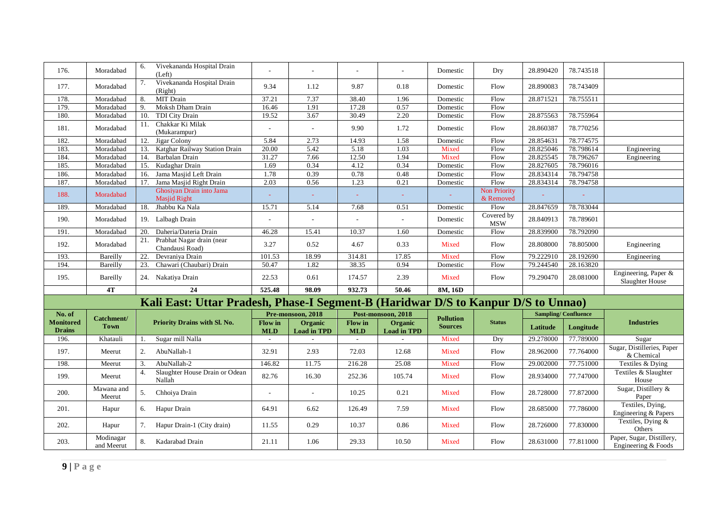| 176.                              | Moradabad                 | Vivekananda Hospital Drain<br>6.<br>(Left)                                        |                       |                               |                       | $\mathcal{L}$                 | Domestic                           | Dry                       | 28.890420                  | 78.743518 |                                                  |
|-----------------------------------|---------------------------|-----------------------------------------------------------------------------------|-----------------------|-------------------------------|-----------------------|-------------------------------|------------------------------------|---------------------------|----------------------------|-----------|--------------------------------------------------|
| 177.                              | Moradabad                 | Vivekananda Hospital Drain<br>7.<br>(Right)                                       | 9.34                  | 1.12                          | 9.87                  | 0.18                          | Domestic                           | Flow                      | 28.890083                  | 78.743409 |                                                  |
| 178.                              | Moradabad                 | MIT Drain<br>8.                                                                   | 37.21                 | 7.37                          | 38.40                 | 1.96                          | Domestic                           | Flow                      | 28.871521                  | 78.755511 |                                                  |
| 179.                              | Moradabad                 | Moksh Dham Drain<br>9.                                                            | 16.46                 | 1.91                          | 17.28                 | 0.57                          | Domestic                           | Flow                      |                            |           |                                                  |
| 180.                              | Moradabad                 | TDI City Drain<br>10.                                                             | 19.52                 | 3.67                          | 30.49                 | 2.20                          | Domestic                           | Flow                      | 28.875563                  | 78.755964 |                                                  |
| 181.                              | Moradabad                 | Chakkar Ki Milak<br>11.<br>(Mukarampur)                                           | Ĭ.                    | $\overline{a}$                | 9.90                  | 1.72                          | Domestic                           | Flow                      | 28.860387                  | 78.770256 |                                                  |
| 182.                              | Moradabad                 | Jigar Colony<br>12.                                                               | 5.84                  | 2.73                          | 14.93                 | 1.58                          | Domestic                           | Flow                      | 28.854631                  | 78.774575 |                                                  |
| 183.                              | Moradabad                 | Katghar Railway Station Drain<br>13.                                              | 20.00                 | 5.42                          | 5.18                  | 1.03                          | Mixed                              | Flow                      | 28.825046                  | 78.798614 | Engineering                                      |
| 184.                              | Moradabad                 | 14.<br>Barbalan Drain                                                             | 31.27                 | 7.66                          | 12.50                 | 1.94                          | Mixed                              | Flow                      | 28.825545                  | 78.796267 | Engineering                                      |
| 185.                              | Moradabad                 | 15.<br>Kudaghar Drain                                                             | 1.69                  | 0.34                          | 4.12                  | 0.34                          | Domestic                           | Flow                      | 28.827605                  | 78.796016 |                                                  |
| 186.                              | Moradabad                 | Jama Masjid Left Drain<br>16.                                                     | 1.78                  | 0.39                          | 0.78                  | 0.48                          | Domestic                           | Flow                      | 28.834314                  | 78.794758 |                                                  |
| 187.                              | Moradabad                 | Jama Masjid Right Drain<br>17.                                                    | 2.03                  | 0.56                          | 1.23                  | 0.21                          | Domestic                           | Flow                      | 28.834314                  | 78.794758 |                                                  |
| 188.                              | Moradabad                 | Ghosiyan Drain into Jama<br><b>Masjid Right</b>                                   |                       |                               |                       |                               |                                    | Non Priority<br>& Removed |                            |           |                                                  |
| 189.                              | Moradabad                 | Jhabbu Ka Nala<br>18.                                                             | 15.71                 | 5.14                          | 7.68                  | 0.51                          | Domestic                           | Flow                      | 28.847659                  | 78.783044 |                                                  |
| 190.                              | Moradabad                 | 19. Lalbagh Drain                                                                 |                       | $\mathcal{L}$                 | $\sim$                | $\overline{\phantom{a}}$      | Domestic                           | Covered by<br><b>MSW</b>  | 28.840913                  | 78.789601 |                                                  |
| 191.                              | Moradabad                 | Daheria/Dateria Drain<br>20.                                                      | 46.28                 | 15.41                         | 10.37                 | 1.60                          | Domestic                           | Flow                      | 28.839900                  | 78.792090 |                                                  |
| 192.                              | Moradabad                 | 21. Prabhat Nagar drain (near<br>Chandausi Road)                                  | 3.27                  | 0.52                          | 4.67                  | 0.33                          | Mixed                              | Flow                      | 28.808000                  | 78.805000 | Engineering                                      |
| 193.                              | Bareilly                  | 22.<br>Devraniya Drain                                                            | 101.53                | 18.99                         | 314.81                | 17.85                         | Mixed                              | Flow                      | 79.222910                  | 28.192690 | Engineering                                      |
| 194.                              | Bareilly                  | Chawari (Chaubari) Drain<br>23.                                                   | 50.47                 | 1.82                          | 38.35                 | 0.94                          | Domestic                           | Flow                      | 79.244540                  | 28.163820 |                                                  |
| 195.                              | Bareilly                  | 24. Nakatiya Drain                                                                | 22.53                 | $0.61\,$                      | 174.57                | 2.39                          | Mixed                              | Flow                      | 79.290470                  | 28.081000 | Engineering, Paper &<br>Slaughter House          |
|                                   | 4T                        | 24                                                                                | 525.48                | 98.09                         | 932.73                | 50.46                         | 8M, 16D                            |                           |                            |           |                                                  |
|                                   |                           | Kali East: Uttar Pradesh, Phase-I Segment-B (Haridwar D/S to Kanpur D/S to Unnao) |                       |                               |                       |                               |                                    |                           |                            |           |                                                  |
| No. of                            |                           |                                                                                   |                       | Pre-monsoon, 2018             | Post-monsoon, 2018    |                               |                                    |                           | <b>Sampling/Confluence</b> |           |                                                  |
| <b>Monitored</b><br><b>Drains</b> | Catchment/<br><b>Town</b> | Priority Drains with Sl. No.                                                      | Flow in<br><b>MLD</b> | Organic<br><b>Load in TPD</b> | Flow in<br><b>MLD</b> | Organic<br><b>Load in TPD</b> | <b>Pollution</b><br><b>Sources</b> | <b>Status</b>             | Latitude                   | Longitude | <b>Industries</b>                                |
| 196.                              | Khatauli                  | Sugar mill Nalla<br>$\overline{1}$ .                                              | $\sim$                | $\overline{\phantom{a}}$      | $\sim$                | $\overline{\phantom{a}}$      | Mixed                              | Dry                       | 29.278000                  | 77.789000 | Sugar                                            |
| 197.                              | Meerut                    | AbuNallah-1<br>2.                                                                 | 32.91                 | 2.93                          | 72.03                 | 12.68                         | Mixed                              | Flow                      | 28.962000                  | 77.764000 | Sugar, Distilleries, Paper<br>& Chemical         |
| 198.                              | Meerut                    | AbuNallah-2<br>3.                                                                 | 146.82                | 11.75                         | 216.28                | 25.08                         | Mixed                              | Flow                      | 29.002000                  | 77.751000 | Textiles & Dying                                 |
| 199.                              | Meerut                    | Slaughter House Drain or Odean<br>4.<br>Nallah                                    | 82.76                 | 16.30                         | 252.36                | 105.74                        | Mixed                              | Flow                      | 28.934000                  | 77.747000 | Textiles & Slaughter<br>House                    |
| 200.                              | Mawana and<br>Meerut      | Chhoiya Drain<br>5.                                                               | $\overline{a}$        | ÷,                            | 10.25                 | 0.21                          | Mixed                              | Flow                      | 28.728000                  | 77.872000 | Sugar, Distillery &<br>Paper                     |
| 201.                              | Hapur                     | Hapur Drain<br>6.                                                                 | 64.91                 | 6.62                          | 126.49                | 7.59                          | Mixed                              | Flow                      | 28.685000                  | 77.786000 | Textiles, Dying,<br>Engineering & Papers         |
| 202.                              | Hapur                     | Hapur Drain-1 (City drain)<br>7.                                                  | 11.55                 | 0.29                          | 10.37                 | 0.86                          | Mixed                              | Flow                      | 28.726000                  | 77.830000 | Textiles, Dying &<br>Others                      |
| 203.                              | Modinagar<br>and Meerut   | Kadarabad Drain<br>8.                                                             | 21.11                 | 1.06                          | 29.33                 | 10.50                         | Mixed                              | Flow                      | 28.631000                  | 77.811000 | Paper, Sugar, Distillery,<br>Engineering & Foods |